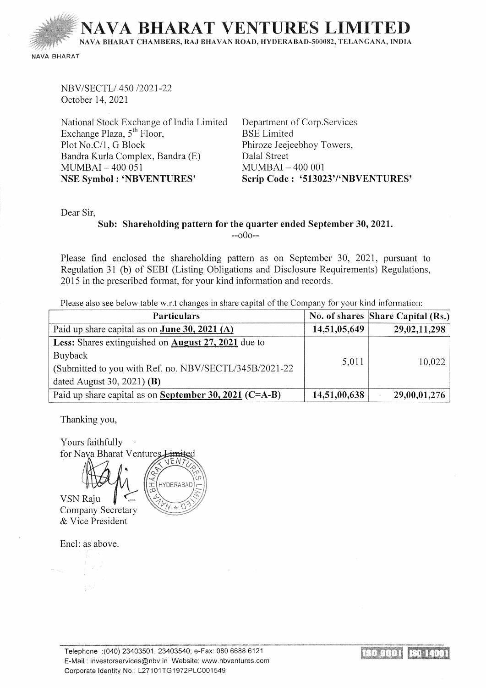IARAT VENTURES I

NAVA BHARA T CHAMBERS, RAJ BHA VAN ROAD, HYDERABAD-500082, TELANGANA, INDIA

NAVA BHARAT

NBV /SECTL/ 450 /2021-22 October 14, 2021

National Stock Exchange of India Limited Exchange Plaza,  $5<sup>th</sup>$  Floor, Plot No.C/1, G Block Bandra Kurla Complex, Bandra (E) MUMBAI - 400 051 NSE Symbol : 'NBVENTURES'

Department of Corp.Services BSE Limited Phiroze Jeejeebhoy Towers, Dalal Street  $MUMBAI - 400001$ Scrip Code: '513023'/'NBVENTURES'

Dear Sir,

## Sub: Shareholding pattern for the quarter ended September 30, 2021.  $-000-$

Please find enclosed the shareholding pattern as on September 30, 2021, pursuant to Regulation 31 (b) of SEBI (Listing Obligations and Disclosure Requirements) Regulations, 2015 in the prescribed format, for your kind information and records.

Please also see below table w.r.t changes in share capital of the Company for your kind information:

| <b>Particulars</b>                                      |              | No. of shares Share Capital (Rs.) |
|---------------------------------------------------------|--------------|-----------------------------------|
| Paid up share capital as on <b>June 30, 2021</b> (A)    | 14,51,05,649 | 29,02,11,298                      |
| Less: Shares extinguished on August 27, 2021 due to     |              |                                   |
| Buyback                                                 | 5,011        | 10,022                            |
| (Submitted to you with Ref. no. NBV/SECTL/345B/2021-22) |              |                                   |
| dated August 30, 2021) (B)                              |              |                                   |
| Paid up share capital as on September 30, 2021 (C=A-B)  | 14,51,00,638 | 29,00,01,276                      |

Thanking you,

Yours faithfully for Nava Bharat Ventures



HYDERARAD

Encl: as above.

& Vice President

Telephone :(040) 23403501, 23403540; e-Fax: 080 6688 6121 E-Mail : investorservices@nbv.in Website: www.nbventures.com Corporate Identity No.: L27101TG1972PLC001549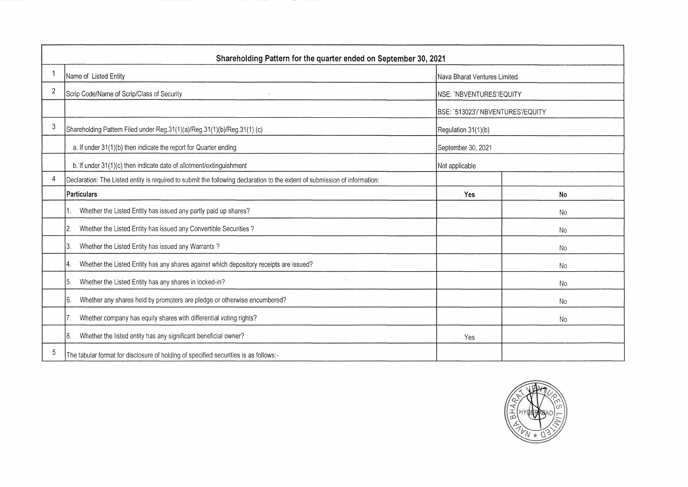|    | Shareholding Pattern for the quarter ended on September 30, 2021                                                           |                                   |           |  |  |  |  |  |  |  |  |  |
|----|----------------------------------------------------------------------------------------------------------------------------|-----------------------------------|-----------|--|--|--|--|--|--|--|--|--|
|    | Name of Listed Entity                                                                                                      | Nava Bharat Ventures Limited      |           |  |  |  |  |  |  |  |  |  |
| 2  | Scrip Code/Name of Scrip/Class of Security                                                                                 | NSE: 'NBVENTURES'/EQUITY          |           |  |  |  |  |  |  |  |  |  |
|    |                                                                                                                            | BSE: '513023'/'NBVENTURES'/EQUITY |           |  |  |  |  |  |  |  |  |  |
| 3  | Shareholding Pattern Filed under Reg.31(1)(a)/Reg.31(1)(b)/Reg.31(1) (c)                                                   | Regulation 31(1)(b)               |           |  |  |  |  |  |  |  |  |  |
|    | a. If under 31(1)(b) then indicate the report for Quarter ending                                                           | September 30, 2021                |           |  |  |  |  |  |  |  |  |  |
|    | b. If under 31(1)(c) then indicate date of allotment/extinguishment                                                        | Not applicable                    |           |  |  |  |  |  |  |  |  |  |
| 4  | Declaration: The Listed entity is required to submit the following declaration to the extent of submission of information: |                                   |           |  |  |  |  |  |  |  |  |  |
|    | Particulars                                                                                                                | Yes                               | No        |  |  |  |  |  |  |  |  |  |
|    | Whether the Listed Entity has issued any partly paid up shares?                                                            |                                   | <b>No</b> |  |  |  |  |  |  |  |  |  |
|    | Whether the Listed Entity has issued any Convertible Securities?<br>l2.                                                    |                                   | No        |  |  |  |  |  |  |  |  |  |
|    | Whether the Listed Entity has issued any Warrants?<br>13.                                                                  |                                   | <b>No</b> |  |  |  |  |  |  |  |  |  |
|    | Whether the Listed Entity has any shares against which depository receipts are issued?<br>14.                              |                                   | <b>No</b> |  |  |  |  |  |  |  |  |  |
|    | Whether the Listed Entity has any shares in locked-in?<br>15.                                                              |                                   | <b>No</b> |  |  |  |  |  |  |  |  |  |
|    | Whether any shares held by promoters are pledge or otherwise encumbered?<br>16.                                            |                                   | No        |  |  |  |  |  |  |  |  |  |
|    | Whether company has equity shares with differential voting rights?<br>17.                                                  |                                   | No        |  |  |  |  |  |  |  |  |  |
|    | Whether the listed entity has any significant beneficial owner?<br>18.                                                     | Yes                               |           |  |  |  |  |  |  |  |  |  |
| -5 | The tabular format for disclosure of holding of specified securities is as follows:-                                       |                                   |           |  |  |  |  |  |  |  |  |  |

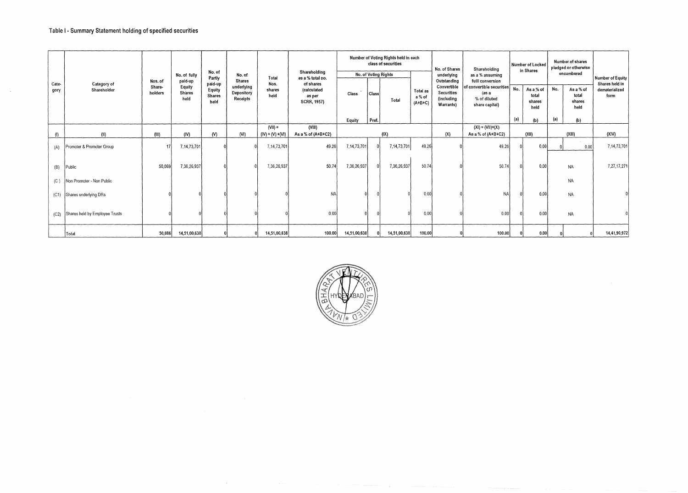$\sim$ 

|               |                                |                   |                          | No. of                                     |                                      |                        | Shareholding                                             |              |       | Number of Voting Rights held in each<br>class of securities |                                 | No. of Shares                                                      | Shareholding                                                          |     | Number of Locked<br>in Shares        |     | Number of shares<br>pledged or otherwise<br>encumbered |                                          |
|---------------|--------------------------------|-------------------|--------------------------|--------------------------------------------|--------------------------------------|------------------------|----------------------------------------------------------|--------------|-------|-------------------------------------------------------------|---------------------------------|--------------------------------------------------------------------|-----------------------------------------------------------------------|-----|--------------------------------------|-----|--------------------------------------------------------|------------------------------------------|
|               |                                | Nos. of           | No. of fully<br>paid-up  | Partly                                     | No. of<br><b>Shares</b>              | Total                  | as a % total no.                                         |              |       | No. of Voting Rights                                        |                                 | underlying<br>Outstanding                                          | as a % assuming<br>fulll conversion                                   |     |                                      |     |                                                        | Number of Equity                         |
| Cate-<br>gory | Category of<br>Shareholder     | Share-<br>holders | Equity<br>Shares<br>held | paid-up<br>Equity<br><b>Shares</b><br>held | underlying<br>Depository<br>Receipts | Nos.<br>shares<br>held | of shares<br>(calculated<br>as per<br><b>SCRR, 1957)</b> | Class        | Class |                                                             | Total as<br>a % of<br>$(A+B+C)$ | Convertible<br><b>Securities</b><br><i>(including</i><br>Warrants) | of convertible securities∫<br>(as a<br>% of diluted<br>share capital) | No. | As a % of<br>total<br>shares<br>held | No. | As a % of<br>total<br>shares<br>held                   | Shares held in<br>dematerialized<br>form |
|               |                                |                   |                          |                                            |                                      |                        |                                                          | Equity       | Pref. |                                                             |                                 |                                                                    |                                                                       | (a) | (b)                                  | (a) | (b)                                                    |                                          |
|               |                                |                   |                          |                                            |                                      | $(VII) =$              | (VIII)                                                   |              |       |                                                             |                                 |                                                                    | $(XI) = (VII)+(X)$                                                    |     |                                      |     |                                                        |                                          |
| (1)           | (II)                           | (III)             | (IV)                     | (V)                                        | (NI)                                 | $(IV) + (V) + (VI)$    | As a % of (A+B+C2)                                       |              | (IX)  |                                                             |                                 | (X)                                                                | As a % of (A+B+C2)                                                    |     | (XIII)<br>(XII)                      |     |                                                        | (XIV)                                    |
| (A)           | Promoter & Promoter Group      | 17                | 7,14,73,701              |                                            |                                      | 7,14,73,701            | 49.26                                                    | 7,14,73,701  |       | 7,14,73,701                                                 | 49.26                           |                                                                    | 49.26                                                                 |     | 0.00                                 |     | 0.00                                                   | 7, 14, 73, 701                           |
| (B)           | Public                         | 50,069            | 7,36,26,937              |                                            |                                      | 7,36,26,937            | 50.74                                                    | 7,36,26,937  |       | 7,36,26,937                                                 | 50.74                           |                                                                    | 50.74                                                                 |     | 0.00                                 |     | NA                                                     | 7,27,17,271                              |
| (C)           | Non Promoter - Non Public      |                   |                          |                                            |                                      |                        |                                                          |              |       |                                                             |                                 |                                                                    |                                                                       |     |                                      |     | NA                                                     |                                          |
| (C1)          | Shares underlying DRs          |                   |                          |                                            |                                      |                        | <b>NA</b>                                                |              |       |                                                             | 0.00                            |                                                                    | <b>NA</b>                                                             |     | 0.00                                 |     | NA                                                     |                                          |
| (C2)          | Shares held by Employee Trusts |                   |                          |                                            |                                      |                        | 0.00                                                     |              |       |                                                             | 0.00                            |                                                                    | 0.00                                                                  |     | 0.00                                 |     | <b>NA</b>                                              |                                          |
|               | Total                          | 50,086            | 14,51,00,638             |                                            |                                      | 14,51,00,638           | 100.00                                                   | 14,51,00,638 |       | 14,51,00,638                                                | 100.00                          |                                                                    | 100.00                                                                |     | 0.00                                 |     |                                                        | 14,41,90,972                             |

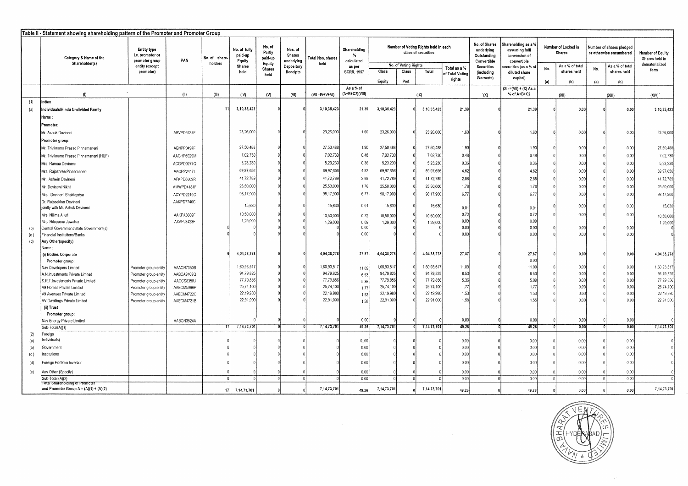|            | Table II - Statement showing shareholding pattern of the Promoter and Promoter Group |                                                          |            |               |                                   |                             |                                        |                        |                                              |                        |                      |                                                             |                 |                                                           |                                                       |                                                     |                 |                                                     |                 |                                    |
|------------|--------------------------------------------------------------------------------------|----------------------------------------------------------|------------|---------------|-----------------------------------|-----------------------------|----------------------------------------|------------------------|----------------------------------------------|------------------------|----------------------|-------------------------------------------------------------|-----------------|-----------------------------------------------------------|-------------------------------------------------------|-----------------------------------------------------|-----------------|-----------------------------------------------------|-----------------|------------------------------------|
|            | Category & Name of the                                                               | <b>Entity type</b><br>i.e. promoter or<br>promoter group | PAN        | No. of share- | No. of fully<br>paid-up<br>Equity | No. of<br>Partly<br>paid-up | Nos. of<br><b>Shares</b><br>underlying | Total Nos. shares      | Shareholding<br>$\mathbf{v}_t$<br>calculated |                        |                      | Number of Voting Rights held in each<br>class of securities |                 | No. of Shares<br>underlying<br>Outstanding<br>Convertible | Shareholding as a %<br>assuming full<br>conversion of | Number of Locked in<br><b>Shares</b><br>convertible |                 | Number of shares pledged<br>or otherwise encumbered |                 | Number of Equity<br>Shares held in |
|            | Shareholder(s)                                                                       | entity (except                                           |            | holders       | <b>Shares</b>                     | Equity                      | Depository                             | held                   | as per                                       |                        | No. of Voting Rights |                                                             | Total as a %    | <b>Securities</b>                                         | ecurities (as a % of                                  |                                                     | As a % of total |                                                     | As a % of total | dematerialized                     |
|            |                                                                                      | promoter)                                                |            |               | held                              | <b>Shares</b><br>held       | Receipts                               |                        | <b>SCRR. 1957</b>                            | Class                  | Class                | Total                                                       | of Total Votino | (including<br>Warrants)                                   | diluted share<br>capital)                             | No.                                                 | shares held     | No.                                                 | shares held     | form                               |
|            |                                                                                      |                                                          |            |               |                                   |                             |                                        |                        |                                              | Equity                 | Pref.                |                                                             | rights          |                                                           |                                                       | (a)                                                 | (b)             | (a)                                                 | (b)             |                                    |
|            | (1)                                                                                  |                                                          | (11)       | (HI)          | (IV)                              | (N)                         | (N)                                    | $(VII = IV + V + VI)$  | As a % of<br>(A+B+C2)(VIII)                  |                        |                      | (X)                                                         |                 | (X)                                                       | (XI) = (VII) + (X) As a<br>% of A+B+C2                |                                                     | (XII)           |                                                     | (XIII)          | (XIN)                              |
| (1)        | ndian                                                                                |                                                          |            |               |                                   |                             |                                        |                        |                                              |                        |                      |                                                             |                 |                                                           |                                                       |                                                     |                 |                                                     |                 |                                    |
| (a)        | ndividuals/Hindu Undivided Family                                                    |                                                          |            | 11            | 3,10,35,423                       |                             |                                        | 3,10,35,423            | 21.39                                        | 3,10,35,423            |                      | 3,10,35,423                                                 | 21.39           |                                                           | 21.39                                                 |                                                     | 0.00            |                                                     | 0.00            | 3,10,35,423                        |
|            | Name :                                                                               |                                                          |            |               |                                   |                             |                                        |                        |                                              |                        |                      |                                                             |                 |                                                           |                                                       |                                                     |                 |                                                     |                 |                                    |
|            | Promoter:                                                                            |                                                          |            |               |                                   |                             |                                        |                        |                                              |                        |                      |                                                             |                 |                                                           |                                                       |                                                     |                 |                                                     |                 |                                    |
|            |                                                                                      |                                                          |            |               | 23,26,000                         |                             |                                        | 23,26,000              | 1.60                                         | 23,26,000              |                      | 23,26,000                                                   | 1.60            |                                                           | 1.60                                                  |                                                     |                 |                                                     |                 |                                    |
|            | Mr. Ashok Devineni                                                                   |                                                          | ABVPD5737F |               |                                   |                             |                                        |                        |                                              |                        |                      |                                                             |                 |                                                           |                                                       |                                                     | 0.00            |                                                     | 0.00            | 23,26,000                          |
|            | Promoter group:                                                                      |                                                          |            |               |                                   |                             |                                        |                        |                                              |                        |                      |                                                             |                 |                                                           |                                                       |                                                     |                 |                                                     |                 |                                    |
|            | Mr. Trivikrama Prasad Pinnamaneni                                                    |                                                          | AENPP0497F |               | 27,50,488                         |                             |                                        | 27,50,488              | 1.90                                         | 27,50,488              |                      | 27,50,488                                                   | 1.90            |                                                           | 1.90                                                  |                                                     | 0.00            |                                                     | 0.00            | 27,50,488                          |
|            | Mr. Trivikrama Prasad Pinnamaneni (HUF)                                              |                                                          | AAGHP6929M |               | 7,02,730                          |                             |                                        | 7,02,730               | 0.48                                         | 7,02,730               |                      | 7,02,730                                                    | 0.48            |                                                           | 0.48                                                  |                                                     | 0.00            |                                                     | 0.00            | 7,02,730                           |
|            | Mrs. Ramaa Devineni                                                                  |                                                          | ACGPD0277Q |               | 5,23,230                          |                             |                                        | 5,23,230               | 0.36                                         | 5,23,230               |                      | 5,23,230                                                    | 0.36            |                                                           | 0.36                                                  |                                                     | 0.00            |                                                     | 0.00            | 5,23,230                           |
|            | Mrs. Rajashree Pinnamaneni                                                           |                                                          | AAOPP2417L |               | 69,97,656                         |                             |                                        | 69,97,656              | 4.82                                         | 69,97,656              |                      | 69,97,656                                                   | 4.82            |                                                           | 4.82                                                  |                                                     | 0.00            |                                                     | 0.00            | 69,97,656                          |
|            | Mr. Ashwin Devineni                                                                  |                                                          | AFKPD8669R |               | 41,72,789                         |                             |                                        | 41,72,789              | 2.88                                         | 41,72,789              |                      | 41,72,789                                                   | 2.88            |                                                           | 2.88                                                  |                                                     | 0.00            |                                                     | 0.00            | 41,72,789                          |
|            | Mr. Devineni Nikhil                                                                  |                                                          | AMWPD4181F |               | 25,50,000                         |                             |                                        | 25,50,000              | 1.76                                         | 25,50,000              |                      | 25,50,000                                                   | 1.76            |                                                           | 1.76                                                  |                                                     | 0.00            |                                                     | 0.00            |                                    |
|            |                                                                                      |                                                          |            |               |                                   |                             |                                        |                        | 6.77                                         |                        |                      |                                                             |                 |                                                           |                                                       |                                                     |                 |                                                     |                 | 25,50,000                          |
|            | Mrs. Devineni Bhaktapriya                                                            |                                                          | ACYPD2219G |               | 98,17,900                         |                             |                                        | 98,17,900              |                                              | 98,17,900              |                      | 98,17,900                                                   | 6.77            |                                                           | 6.77                                                  |                                                     | 0.00            |                                                     | 0.00            | 98,17,900                          |
|            | Dr. Rajasekhar Devineni<br>jointly with Mr. Ashok Devineni                           |                                                          | AAKPD7740C |               | 15,630                            |                             |                                        | 15,630                 | 0.01                                         | 15,630                 |                      | 15,630                                                      | 0.01            |                                                           | 0.01                                                  |                                                     | 0.00            |                                                     | 0.00            | 15,630                             |
|            | Mrs. Nilima Alluri                                                                   |                                                          | AAKPA8609F |               | 10,50,000                         |                             |                                        | 10,50,000              | 0.72                                         | 10,50,000              |                      | 10,50,000                                                   | 0.72            |                                                           | 0.72                                                  |                                                     | 0.00            |                                                     | 0.00            | 10,50,000                          |
|            | Mrs. Rituparna Jawahar                                                               |                                                          | AXAPJ3423F |               | 1,29,000                          |                             |                                        | 1,29,000               | 0.09                                         | 1,29,000               |                      | 1,29,000                                                    | 0.09            |                                                           | 0.09                                                  |                                                     |                 |                                                     |                 | 1,29,000                           |
| (b)        | Central Government/State Government(s)                                               |                                                          |            |               |                                   |                             |                                        |                        | 0.00                                         |                        |                      |                                                             | 0.00            |                                                           | 0.00                                                  |                                                     | 0.00            |                                                     | 0.00            |                                    |
| (c)        | inancial Institutions/Banks                                                          |                                                          |            |               |                                   |                             |                                        |                        | 0.00                                         |                        |                      |                                                             | 0.00            |                                                           | 0.00                                                  |                                                     | 0.00            |                                                     | 0.00            |                                    |
| (d)        | Any Other(specify)                                                                   |                                                          |            |               |                                   |                             |                                        |                        |                                              |                        |                      |                                                             |                 |                                                           |                                                       |                                                     |                 |                                                     |                 |                                    |
|            | Name :                                                                               |                                                          |            |               |                                   |                             |                                        |                        |                                              |                        |                      |                                                             |                 |                                                           |                                                       |                                                     |                 |                                                     |                 |                                    |
|            | (i) Bodies Corporate                                                                 |                                                          |            |               | 4,04,38,278                       |                             |                                        | 4,04,38,278            | 27.87                                        | 4,04,38,278            |                      | 4,04,38,278                                                 | 27.87           |                                                           | 27.87                                                 |                                                     | 0.00            |                                                     | 0.00            | 4,04,38,278                        |
|            | Promoter group:                                                                      |                                                          |            |               |                                   |                             |                                        |                        |                                              |                        |                      |                                                             |                 |                                                           | 0.00                                                  |                                                     |                 |                                                     |                 |                                    |
|            | Nav Developers Limited                                                               | Promoter group entity                                    | AAACN7350B |               | 1,60,93,517<br>94.79.82           |                             |                                        | 1,60,93,517            | 11.09                                        | 1,60,93,517            |                      | 1,60,93,517                                                 | 11.09           |                                                           | 11.09                                                 |                                                     | 0.00            |                                                     | 0.00            | 1,60,93,517                        |
|            | A.N.Investments Private Limited                                                      | Promoter group entity                                    | AABCA9109Q |               | 77,79,856                         |                             |                                        | 94,79,825              | 6.53                                         | 94.79.825              |                      | 94,79,825                                                   | 6.53            |                                                           | 6.53                                                  |                                                     | 0.00            |                                                     | 0.00            | 94,79,825                          |
|            | S.R.T. Investments Private Limited                                                   | Promoter group entity                                    | AACCS8358J |               | 25,74,100                         |                             |                                        | 77,79,856              | 5.36                                         | 77,79,856              |                      | 77,79,856                                                   | 5.36<br>1.77    |                                                           | 5.09                                                  |                                                     | 0.00            |                                                     | 0.00            | 77,79,856                          |
|            | A9 Homes Private Limited                                                             | Promoter group entity                                    | AAECM5096P |               | 22,19,980                         |                             |                                        | 25,74,100<br>22,19,980 | 1.77                                         | 25,74,100<br>22,19,980 |                      | 25,74,100<br>22,19,980                                      | 1.53            |                                                           | 1.77<br>1.53                                          |                                                     | 0.00<br>0.00    |                                                     | 0.00<br>0.00    | 25,74,100                          |
|            | V9 Avenues Private Limited                                                           | Promoter group entity                                    | AAECM4722C |               | 22,91,000                         |                             |                                        | 22,91,000              | 1.53                                         | 22,91,000              |                      | 22,91,000                                                   | 1.58            |                                                           | 1.55                                                  |                                                     | 0.00            |                                                     | 0.00            | 22,19,980<br>22,91,000             |
|            | AV Dwellings Private Limited                                                         | Promoter group entity                                    | AAECM4721B |               |                                   |                             |                                        |                        | 1.58                                         |                        |                      |                                                             |                 |                                                           |                                                       |                                                     |                 |                                                     |                 |                                    |
|            | (ii) Trust                                                                           |                                                          |            |               |                                   |                             |                                        |                        |                                              |                        |                      |                                                             |                 |                                                           |                                                       |                                                     |                 |                                                     |                 |                                    |
|            | Promoter group:                                                                      |                                                          | AABCN3524A |               |                                   |                             |                                        |                        | 0.00                                         |                        |                      |                                                             | 0.00            |                                                           | 0.00                                                  |                                                     | 0.00            |                                                     | 0.00            |                                    |
|            | Nav Energy Private Limited                                                           |                                                          |            |               | 7,14,73,701                       |                             |                                        | 7.14.73,701            | 49.26                                        | 7,14,73,70             |                      | 7,14,73,701                                                 | 49.26           |                                                           | 49.26                                                 |                                                     | 0.00            |                                                     | 0.00            | 7,14,73,701                        |
|            | Sub-Total(A)(1)                                                                      |                                                          |            |               |                                   |                             |                                        |                        |                                              |                        |                      |                                                             |                 |                                                           |                                                       |                                                     |                 |                                                     |                 |                                    |
|            | Foreign<br>ndividuals)                                                               |                                                          |            |               |                                   |                             |                                        |                        | 0.00                                         |                        |                      |                                                             | 0.00            |                                                           | 0.00                                                  |                                                     | 0.00            |                                                     | 0.00            |                                    |
| (a)<br>(b) |                                                                                      |                                                          |            |               |                                   |                             |                                        |                        | 0.00                                         |                        |                      |                                                             | 0.00            |                                                           | 0.00                                                  |                                                     | 0.00            |                                                     | 0.00            |                                    |
| (c)        | Government<br>nstitutions                                                            |                                                          |            |               |                                   |                             |                                        |                        | 0.00                                         |                        |                      |                                                             | 0.00            |                                                           | 0.00                                                  |                                                     | 0.00            |                                                     | 0.00            |                                    |
|            |                                                                                      |                                                          |            |               |                                   |                             |                                        |                        |                                              |                        |                      |                                                             |                 |                                                           |                                                       |                                                     |                 |                                                     |                 |                                    |
| (d)        | oreign Portfolio Investor                                                            |                                                          |            |               |                                   |                             |                                        |                        | 0.00                                         |                        |                      |                                                             | 0.00            |                                                           | 0.00                                                  |                                                     | 0.00            |                                                     | 0.00            |                                    |
| (e)        | Any Other (Specify)                                                                  |                                                          |            |               |                                   |                             |                                        |                        | 0.00                                         |                        |                      |                                                             | 0.00            |                                                           | 0.00                                                  |                                                     | 0.00            |                                                     | 0.00            |                                    |
|            | Sub-Total (A)(2)                                                                     |                                                          |            |               |                                   |                             |                                        |                        | 0.00                                         |                        |                      |                                                             | 0.00            |                                                           | 0.00                                                  |                                                     | 0.00            |                                                     | 0.00            |                                    |
|            | Total Shareholding of Promotel<br>and Promoter Group $A = (A)(1) + (A)(2)$           |                                                          |            | 17            | 7,14,73,701                       |                             |                                        | 7,14,73,701            | 49.26                                        | 7,14,73,701            |                      | 7,14,73,701                                                 | 49.26           |                                                           | 49.26                                                 |                                                     | 0.00            |                                                     | 0.00            | 7,14,73,701                        |

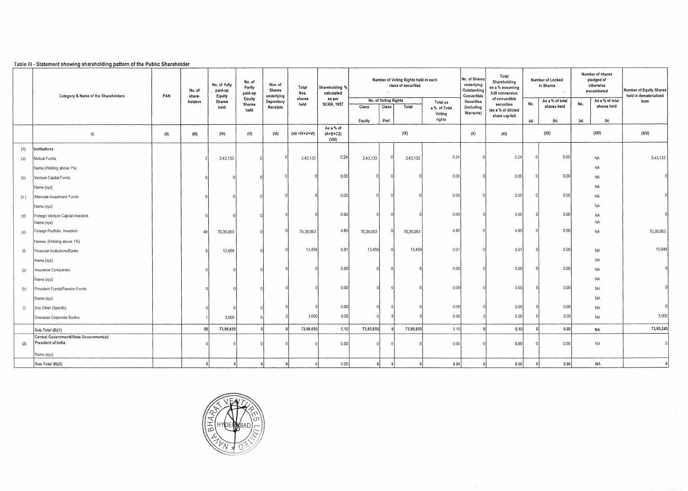## Table Ill • Statement showing shareholding pattern of the Public Shareholder

|     | Category & Name of the Shareholders                            | Number of Voting Rights held in each<br>No. of<br>No. of fully<br>Nos. of<br>class of securities<br>Shareholding %<br>Partly<br>Total<br>paid-up<br>Shares<br>No. of<br>calculated<br>$\sim$<br>paid-up<br>Nos.<br>PAN<br>Equity<br>underlying<br>share- |         |                | No. of Shares<br>underlying<br>Outstanding<br>Convertible | Total<br>Shareholding<br>as a % assuming<br>fulli conversion<br>of convertible | Number of Locked<br>in Shares<br>$\ddot{\phantom{a}}$ |                                   | Number of shares<br>pledged of<br>otherwise<br>encumbered | Number of Equity Shares<br>held in dematerialized |           |                        |                         |                    |     |                                |                                       |           |
|-----|----------------------------------------------------------------|----------------------------------------------------------------------------------------------------------------------------------------------------------------------------------------------------------------------------------------------------------|---------|----------------|-----------------------------------------------------------|--------------------------------------------------------------------------------|-------------------------------------------------------|-----------------------------------|-----------------------------------------------------------|---------------------------------------------------|-----------|------------------------|-------------------------|--------------------|-----|--------------------------------|---------------------------------------|-----------|
|     |                                                                |                                                                                                                                                                                                                                                          | holders | Shares<br>held | Equity<br><b>Shares</b>                                   | Depository<br>Receipts                                                         | shares<br>held                                        | as per<br><b>SCRR, 1957</b>       | Class                                                     | No. of Voting Rights<br><b>Class</b>              | Total     | Total as               | Securities              | securities         | No. | As a % of total<br>shares held | As a % of total<br>No.<br>shares held | form      |
|     |                                                                |                                                                                                                                                                                                                                                          |         |                | held                                                      |                                                                                |                                                       |                                   |                                                           |                                                   |           | a % of Total<br>Voting | (including<br>Warrants) | (as a % of diluted |     |                                |                                       |           |
|     |                                                                |                                                                                                                                                                                                                                                          |         |                |                                                           |                                                                                |                                                       |                                   | Equity                                                    | Pref.                                             |           | rights                 |                         | share capital)     | (a) | (b)                            | (a)<br>(b)                            |           |
|     | (1)                                                            | (11)                                                                                                                                                                                                                                                     | (III)   | (IV)           | (N)                                                       | (N)                                                                            | $(VII = IV + V + VI)$                                 | As a % of<br>$(A+B+C2)$<br>(VIII) |                                                           |                                                   | (IX)      |                        | (X)                     | (XI)               |     | (XII)                          | (XIII)                                | (XIV)     |
| (1) | Institutions                                                   |                                                                                                                                                                                                                                                          |         |                |                                                           |                                                                                |                                                       |                                   |                                                           |                                                   |           |                        |                         |                    |     |                                |                                       |           |
| (a) | Mutual Funds                                                   |                                                                                                                                                                                                                                                          |         | 3,43,133       |                                                           |                                                                                | 3,43,133                                              | 0.24                              | 3,43,133                                                  |                                                   | 3,43,133  | 0.24                   |                         | 0.24               |     | 0.00                           | NA                                    | 3,43,133  |
|     | Name (Holding above 1%)                                        |                                                                                                                                                                                                                                                          |         |                |                                                           |                                                                                |                                                       |                                   |                                                           |                                                   |           |                        |                         |                    |     |                                | <b>NA</b>                             |           |
| (b) | Venture Capital Funds                                          |                                                                                                                                                                                                                                                          |         |                |                                                           |                                                                                |                                                       | 0.00                              |                                                           |                                                   |           | 0.00                   |                         | 0.00               |     | 0.00                           | <b>NA</b>                             |           |
|     | Name (xyz)                                                     |                                                                                                                                                                                                                                                          |         |                |                                                           |                                                                                |                                                       |                                   |                                                           |                                                   |           |                        |                         |                    |     |                                | NA                                    |           |
| (c) | Alternate Investment Funds                                     |                                                                                                                                                                                                                                                          |         |                |                                                           |                                                                                |                                                       | 0.00                              |                                                           |                                                   |           | 0.00                   |                         | 0.00               |     | 0.00                           | <b>NA</b>                             |           |
|     | Name (xyz)                                                     |                                                                                                                                                                                                                                                          |         |                |                                                           |                                                                                |                                                       |                                   |                                                           |                                                   |           |                        |                         |                    |     |                                | <b>NA</b>                             |           |
| (d) | Foreign Venture Capital Investors                              |                                                                                                                                                                                                                                                          |         |                |                                                           |                                                                                |                                                       | 0.00                              |                                                           |                                                   |           | 0.00                   |                         | 0.00               |     | 0.00                           | <b>NA</b>                             |           |
|     | Name (xyz)                                                     |                                                                                                                                                                                                                                                          |         |                |                                                           |                                                                                |                                                       | 4.85                              |                                                           | $\Omega$                                          |           | 4.85                   |                         | 4.85               |     | 0.00                           | <b>NA</b>                             |           |
| (e) | Foreign Portfolio Investors                                    |                                                                                                                                                                                                                                                          | 49      | 70,39,063      |                                                           |                                                                                | 70,39,063                                             |                                   | 70,39,063                                                 |                                                   | 70,39,063 |                        |                         |                    |     |                                | <b>NA</b>                             | 70,39,063 |
|     | Names : (Holding above 1%)                                     |                                                                                                                                                                                                                                                          |         |                |                                                           |                                                                                | 13,459                                                | 0.01                              | 13.459                                                    | $\Omega$                                          | 13,459    | 0.01                   |                         | 0.01               |     | 0.00                           |                                       | 10,049    |
| (1) | Financial Institutions/Banks                                   |                                                                                                                                                                                                                                                          |         | 13,459         |                                                           |                                                                                |                                                       |                                   |                                                           |                                                   |           |                        |                         |                    |     |                                | <b>NA</b>                             |           |
|     | Name (xyz)                                                     |                                                                                                                                                                                                                                                          |         |                |                                                           |                                                                                |                                                       | 0.00                              |                                                           |                                                   |           | 0.00                   |                         | 0.00               |     | 0.00                           | <b>NA</b>                             |           |
| (g) | Insurance Companies                                            |                                                                                                                                                                                                                                                          |         |                |                                                           |                                                                                |                                                       |                                   |                                                           |                                                   |           |                        |                         |                    |     |                                | NA                                    |           |
|     | Name (xyz)                                                     |                                                                                                                                                                                                                                                          |         |                |                                                           |                                                                                |                                                       | 0.00                              |                                                           |                                                   |           | 0.00                   |                         | 0.00               |     | 0.00                           | NA<br><b>NA</b>                       |           |
| (h) | Provident Funds/Pension Funds                                  |                                                                                                                                                                                                                                                          |         |                |                                                           |                                                                                |                                                       |                                   |                                                           |                                                   |           |                        |                         |                    |     |                                |                                       |           |
|     | Name (xyz)                                                     |                                                                                                                                                                                                                                                          |         |                |                                                           |                                                                                |                                                       | 0.00                              | $\Omega$                                                  |                                                   |           | 0.00                   |                         | 0.00               |     | 0.00                           | <b>NA</b><br><b>NA</b>                |           |
| (i) | Any Other (Specify)<br>Overseas Corporate Bodies               |                                                                                                                                                                                                                                                          |         | 3,000          |                                                           |                                                                                | 3,000                                                 | 0.00                              | $\Omega$                                                  |                                                   |           | 0.00                   |                         | 0.00               |     | 0.00                           | <b>NA</b>                             | 3,000     |
|     |                                                                |                                                                                                                                                                                                                                                          |         |                |                                                           |                                                                                |                                                       |                                   |                                                           |                                                   |           |                        |                         |                    |     |                                |                                       |           |
|     | Sub-Total (B)(1)                                               |                                                                                                                                                                                                                                                          | 58      | 73,98,655      |                                                           | اہ                                                                             | 73,98,655                                             | 5.10                              | 73,95,655                                                 |                                                   | 73,95,655 | 5.10                   |                         | 5.10               |     | 0.00                           | <b>NA</b>                             | 73,95,245 |
| (2) | Central Governmentt/State Government(s)/<br>President of India |                                                                                                                                                                                                                                                          |         |                |                                                           |                                                                                |                                                       | 0.00                              | $\Omega$                                                  | $\Omega$                                          |           | 0.00                   |                         | 0.00               |     | 0.00                           | <b>NA</b>                             |           |
|     | Name (xyz)                                                     |                                                                                                                                                                                                                                                          |         |                |                                                           |                                                                                |                                                       |                                   |                                                           |                                                   |           |                        |                         |                    |     |                                |                                       |           |
|     | Sub-Total (B)(2)                                               |                                                                                                                                                                                                                                                          |         |                |                                                           |                                                                                |                                                       | 0.00                              | $\overline{0}$                                            |                                                   |           | 0.00                   |                         | 0.00               |     | 0.00                           | NA                                    |           |

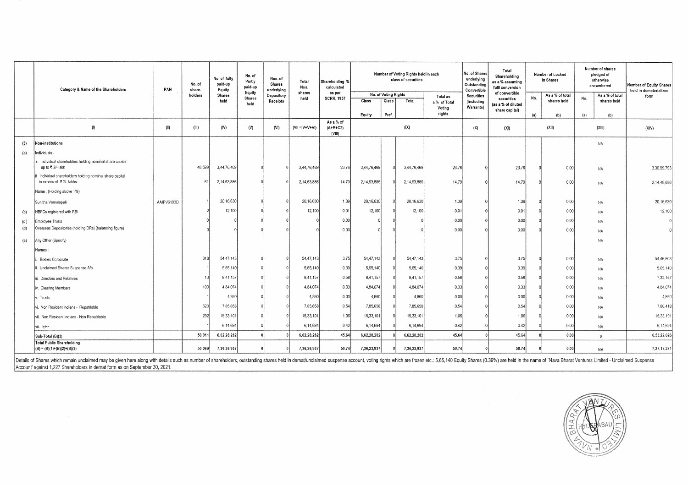|     | Category & Name of the Shareholders                                                | PAN        | No. of<br>share- | No. of fully<br>paid-up<br>Equity | No. of<br>Partly<br>paid-up     | Nos. of<br>Shares<br>underlying | Total<br>Nos.         | Shareholding %<br>calculated      |                                                |                | Number of Voting Rights held in each<br>class of securities |                                              | Total<br>No. of Shares<br>underlying<br>Outstanding<br>Convertible |                                                                      | <b>Securities</b> | Shareholding<br>as a % assuming<br>fulll conversion |                                                     | Number of Locked<br>in Shares | Number of shares<br>pledged of<br>otherwise<br>encumbered | Number of Equity Shares<br>held in dematerialized |
|-----|------------------------------------------------------------------------------------|------------|------------------|-----------------------------------|---------------------------------|---------------------------------|-----------------------|-----------------------------------|------------------------------------------------|----------------|-------------------------------------------------------------|----------------------------------------------|--------------------------------------------------------------------|----------------------------------------------------------------------|-------------------|-----------------------------------------------------|-----------------------------------------------------|-------------------------------|-----------------------------------------------------------|---------------------------------------------------|
|     |                                                                                    |            | holders          | <b>Shares</b><br>held             | Equity<br><b>Shares</b><br>held | Depository<br>Receipts          | shares<br>held        | as per<br><b>SCRR, 1957</b>       | No. of Voting Rights<br><b>Class</b><br>Equity | Class<br>Pref. | Total                                                       | Total as<br>a % of Total<br>Voting<br>rights | (including<br>Warrants)                                            | of convertible<br>securities<br>(as a % of diluted<br>share capital) | No.<br>(a)        | As a % of total<br>shares held<br>(b)               | As a % of total<br>No.<br>shares held<br>(a)<br>(b) | form                          |                                                           |                                                   |
|     | (1)                                                                                | (11)       | (III)            | (IV)                              | (N)                             | (N)                             | $(VII = IV + V + VI)$ | As a % of<br>$(A+B+C2)$<br>(VIII) |                                                |                | (IX)                                                        |                                              | (X)                                                                | (XI)                                                                 |                   | (X  )                                               | (XIII)                                              | (XIV)                         |                                                           |                                                   |
| (3) | Non-institutions                                                                   |            |                  |                                   |                                 |                                 |                       |                                   |                                                |                |                                                             |                                              |                                                                    |                                                                      |                   |                                                     | NA                                                  |                               |                                                           |                                                   |
| (a) | ndividuals -                                                                       |            |                  |                                   |                                 |                                 |                       |                                   |                                                |                |                                                             |                                              |                                                                    |                                                                      |                   |                                                     |                                                     |                               |                                                           |                                                   |
|     | Individual shareholders holding nominal share capital<br>up to ₹ 2/- lakh          |            | 48,599           | 3,44,76,469                       |                                 |                                 | 3,44,76,469           | 23.76                             | 3,44,76,469                                    |                | 3,44,76,469                                                 | 23.76                                        |                                                                    | 23.76                                                                |                   | 0.00                                                | <b>NA</b>                                           | 3,36,99,793                   |                                                           |                                                   |
|     | Individual shareholders holding nominal share capital<br>in excess of ₹ 2/- lakhs. |            | $\mathbf{f}$     | 2,14,63,886                       |                                 |                                 | 2,14,63,886           | 14.79                             | 2,14,63,886                                    |                | 2.14,63,886                                                 | 14.79                                        |                                                                    | 14.79                                                                |                   | 0.00                                                | NA                                                  | 2,14,48,886                   |                                                           |                                                   |
|     | Name: (Holding above 1%)                                                           |            |                  |                                   |                                 |                                 |                       |                                   |                                                |                |                                                             |                                              |                                                                    |                                                                      |                   |                                                     |                                                     |                               |                                                           |                                                   |
|     | Sunitha Vemulapalli                                                                | AAIPV6103D |                  | 20,16,630                         |                                 |                                 | 20,16,630             | 1.39                              | 20,16,630                                      |                | 20,16,630                                                   | 1.39                                         |                                                                    | 1.39                                                                 |                   | 0.00                                                | NA                                                  | 20,16,630                     |                                                           |                                                   |
| (b) | NBFCs registered with RBI                                                          |            |                  | 12,100                            |                                 |                                 | 12,100                | 0.01                              | 12,100                                         |                | 12,100                                                      | 0.01                                         |                                                                    | 0.01                                                                 |                   | 0.00                                                | NA                                                  | 12,100                        |                                                           |                                                   |
| (c) | Employee Trusts                                                                    |            |                  |                                   |                                 |                                 |                       | 0.00                              |                                                |                |                                                             | 0.00                                         |                                                                    | 0.00                                                                 |                   | 0.00                                                | NA                                                  |                               |                                                           |                                                   |
| (d) | Overseas Depositories (holding DRs) (balancing figure)                             |            |                  |                                   |                                 |                                 |                       | 0.00                              |                                                |                |                                                             | 0.00                                         |                                                                    | 0.00                                                                 |                   | 0.00                                                | <b>NA</b>                                           |                               |                                                           |                                                   |
| (e) | Any Other (Specify)                                                                |            |                  |                                   |                                 |                                 |                       |                                   |                                                |                |                                                             |                                              |                                                                    |                                                                      |                   |                                                     | NA                                                  |                               |                                                           |                                                   |
|     | Vames :                                                                            |            |                  |                                   |                                 |                                 |                       |                                   |                                                |                |                                                             |                                              |                                                                    |                                                                      |                   |                                                     |                                                     |                               |                                                           |                                                   |
|     | <b>Bodies Corporate</b>                                                            |            | 318              | 54,47,143                         |                                 |                                 | 54,47,143             | 3.75                              | 54,47,143                                      |                | 54,47,143                                                   | 3.75                                         |                                                                    | 3.75                                                                 |                   | 0.00                                                | NA                                                  | 54,46,803                     |                                                           |                                                   |
|     | . Unclaimed Shares Suspense A/c                                                    |            |                  | 5,65,140                          |                                 |                                 | 5,65,140              | 0.39                              | 5,65,140                                       |                | 5,65,140                                                    | 0.39                                         |                                                                    | 0.39                                                                 |                   | 0.00                                                | <b>NA</b>                                           | 5,65,140                      |                                                           |                                                   |
|     | . Directors and Relatives                                                          |            |                  | 8,41,157                          |                                 |                                 | 8,41,157              | 0.58                              | 8,41,157                                       |                | 8,41,157                                                    | 0.58                                         |                                                                    | 0.58                                                                 |                   | 0.00                                                | <b>NA</b>                                           | 7,32,157                      |                                                           |                                                   |
|     | Clearing Members                                                                   |            | 103              | 4,84,074                          |                                 |                                 | 4,84,074              | 0.33                              | 4,84,074                                       |                | 4,84,074                                                    | 0.33                                         |                                                                    | 0.33                                                                 |                   | 0.00                                                | NA                                                  | 4,84,074                      |                                                           |                                                   |
|     | Trusts                                                                             |            |                  | 4,860                             |                                 |                                 | 4,860                 | 0.00                              | 4,860                                          |                | 4,860                                                       | 0.00                                         |                                                                    | 0.00                                                                 |                   | 0.00                                                | NA                                                  | 4,860                         |                                                           |                                                   |
|     | vi. Non Resident Indians - Repatriable                                             |            | 620              | 7,85,658                          |                                 |                                 | 7,85,658              | 0.54                              | 7,85,658                                       |                | 7,85,658                                                    | 0.54                                         |                                                                    | 0.54                                                                 |                   | 0.00                                                | <b>NA</b>                                           | 7,80,418                      |                                                           |                                                   |
|     | vii. Non Resident Indians - Non Repatriable                                        |            | 292              | 15,33,101                         |                                 |                                 | 15,33,101             | 1.06                              | 15,33,101                                      |                | 15,33,101                                                   | 1.06                                         |                                                                    | 1.06                                                                 |                   | 0.00                                                | <b>NA</b>                                           | 15,33,101                     |                                                           |                                                   |
|     | vii. IEPF                                                                          |            |                  | 6,14,694                          |                                 |                                 | 6,14,694              | 0.42                              | 6,14,694                                       |                | 6,14,694                                                    | 0.42                                         |                                                                    | 0.42                                                                 |                   | 0.00                                                | NA                                                  | 6,14,694                      |                                                           |                                                   |
|     | Sub-Total (B)(3)                                                                   |            | 50,01            | 6,62,28,282                       |                                 |                                 | 6,62,28,282           | 45.64                             | 6,62,28,282                                    |                | 6,62,28,282                                                 | 45.64                                        |                                                                    | 45.64                                                                |                   | 0.00                                                | $\mathbf{0}$                                        | 6,53,22,026                   |                                                           |                                                   |
|     | <b>Total Public Shareholding</b><br>$(B) = (B)(1)+(B)(2)+(B)(3)$                   |            | 50,069           | 7,36,26,937                       |                                 |                                 | 7,36,26,937           | 50.74                             | 7,36,23,937                                    |                | 7,36,23,937                                                 | 50.74                                        |                                                                    | 50.74                                                                |                   | 0.00                                                | <b>NA</b>                                           | 7,27,17,271                   |                                                           |                                                   |

Details of Shares which remain unclaimed may be given here along with details such as number of shareholders, outstanding shares held in demat/unclaimed suspense account, voting rights which are frozen etc.: 5,65,140 Equit Account' against 1,227 Shareholders in demat form as on September 30, 2021.

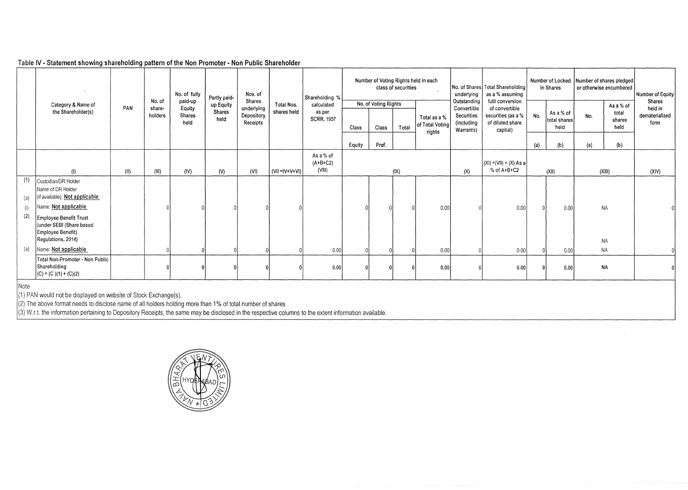## Table IV- **Statement showing shareholding pattern of the Non Promoter- Non Public Shareholder**

|            |                                                                                                                      |      |                  | No. of fully      | Partly paid-          | Nos. of                |                       | Shareholding %                    |        | Number of Voting Rights held in each | class of securities |                                 | underlying                            | No. of Shares Total Shareholding<br>as a % assuming  |          | in Shares                         | Number of Locked Number of shares pledged | or otherwise encumbered | Number of Equity       |
|------------|----------------------------------------------------------------------------------------------------------------------|------|------------------|-------------------|-----------------------|------------------------|-----------------------|-----------------------------------|--------|--------------------------------------|---------------------|---------------------------------|---------------------------------------|------------------------------------------------------|----------|-----------------------------------|-------------------------------------------|-------------------------|------------------------|
|            | Category & Name of                                                                                                   | PAN  | No. of<br>share- | paid-up<br>Equity | up Equity             | Shares<br>underlying   | Total Nos.            | calculated                        |        | No. of Voting Rights                 |                     |                                 | Outstanding<br>Convertible            | fulll conversion<br>of convertible                   |          |                                   |                                           | As a % of               | Shares<br>held in      |
|            | the Shareholder(s)                                                                                                   |      | holders          | Shares<br>held    | <b>Shares</b><br>held | Depository<br>Receipts | shares held           | as per<br><b>SCRR, 1957</b>       | Class  | Class                                | Total               | Total as a %<br>of Total Voting | Securities<br>(including<br>Warrants) | securities (as a %  <br>of diluted share<br>capital) | No.      | As a % of<br>total shares<br>held | No.                                       | total<br>shares<br>held | dematerialized<br>form |
|            |                                                                                                                      |      |                  |                   |                       |                        |                       |                                   | Equity | Pref.                                |                     | rights                          |                                       |                                                      | (a)      | (b)                               | (a)                                       | (b)                     |                        |
|            | (1)                                                                                                                  | (II) | (III)            | (IV)              | (V)                   | (VI)                   | $(VII = IV + V + VI)$ | As a % of<br>$(A+B+C2)$<br>(VIII) |        |                                      | (IX)                |                                 | (X)                                   | $ (X ) = (V  ) + (X) As a$<br>$% of A+B+C2$          |          | (XII)                             |                                           | (XIII)                  | (XIV)                  |
| (1)<br>(a) | Custodian/DR Holder<br>Name of DR Holder<br>(if available); Not applicable                                           |      |                  |                   |                       |                        |                       |                                   |        |                                      |                     |                                 |                                       |                                                      |          |                                   |                                           |                         |                        |
| (i)<br>(2) | Name: Not applicable<br>Employee Benefit Trust<br>under SEBI (Share based<br>Employee Benefit)<br>Regulations, 2014) |      |                  |                   |                       |                        |                       |                                   |        |                                      |                     | 0.00                            |                                       | 0.00                                                 | $\Omega$ | 0.00                              |                                           | <b>NA</b><br><b>NA</b>  |                        |
| (a)        | Name: Not applicable                                                                                                 |      |                  |                   |                       |                        |                       | 0.00                              |        |                                      |                     | 0.00                            |                                       | 0.00                                                 |          | 0.00                              |                                           | <b>NA</b>               |                        |
|            | Total Non-Promoter - Non Public<br>Shareholding<br>$(C) = (C)(1) + (C)(2)$                                           |      |                  |                   |                       |                        |                       | 0.00                              |        |                                      |                     | 0.00                            |                                       | 0.00                                                 | $\Omega$ | 0.00                              |                                           | <b>NA</b>               |                        |
| Note       | $\overline{a}$                                                                                                       |      |                  |                   |                       |                        |                       |                                   |        |                                      |                     |                                 |                                       |                                                      |          |                                   |                                           |                         |                        |

-----------~

(1) PAN would not be displayed on website of Stock Exchange(s).

(2) The above format needs to disclose name of all holders holding more than 1% of total number of shares

 $(3)$  W.r.t. the information pertaining to Depository Receipts, the same may be disclosed in the respective columns to the extent information available.